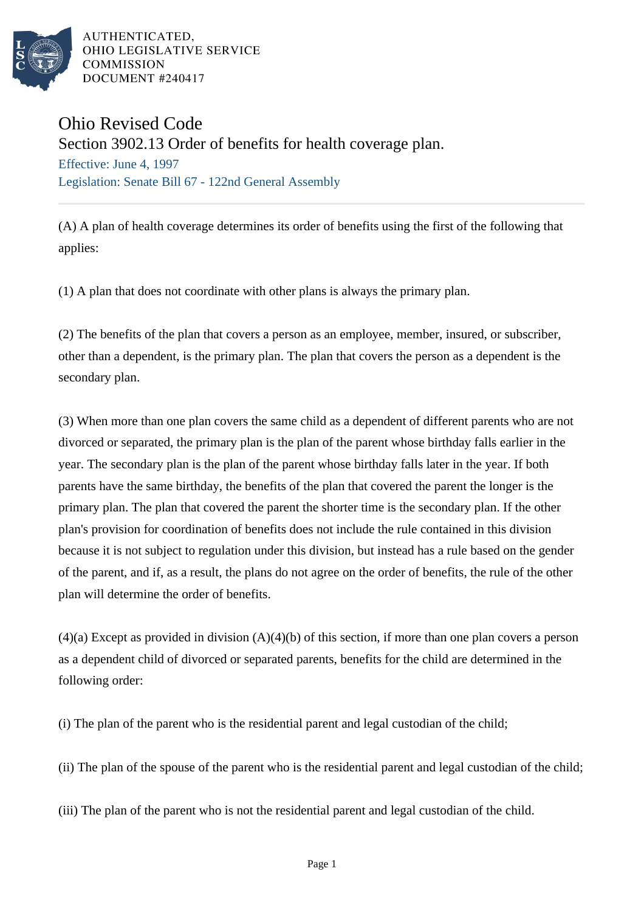

AUTHENTICATED. OHIO LEGISLATIVE SERVICE **COMMISSION** DOCUMENT #240417

## Ohio Revised Code

Section 3902.13 Order of benefits for health coverage plan.

Effective: June 4, 1997 Legislation: Senate Bill 67 - 122nd General Assembly

(A) A plan of health coverage determines its order of benefits using the first of the following that applies:

(1) A plan that does not coordinate with other plans is always the primary plan.

(2) The benefits of the plan that covers a person as an employee, member, insured, or subscriber, other than a dependent, is the primary plan. The plan that covers the person as a dependent is the secondary plan.

(3) When more than one plan covers the same child as a dependent of different parents who are not divorced or separated, the primary plan is the plan of the parent whose birthday falls earlier in the year. The secondary plan is the plan of the parent whose birthday falls later in the year. If both parents have the same birthday, the benefits of the plan that covered the parent the longer is the primary plan. The plan that covered the parent the shorter time is the secondary plan. If the other plan's provision for coordination of benefits does not include the rule contained in this division because it is not subject to regulation under this division, but instead has a rule based on the gender of the parent, and if, as a result, the plans do not agree on the order of benefits, the rule of the other plan will determine the order of benefits.

 $(4)(a)$  Except as provided in division  $(A)(4)(b)$  of this section, if more than one plan covers a person as a dependent child of divorced or separated parents, benefits for the child are determined in the following order:

(i) The plan of the parent who is the residential parent and legal custodian of the child;

(ii) The plan of the spouse of the parent who is the residential parent and legal custodian of the child;

(iii) The plan of the parent who is not the residential parent and legal custodian of the child.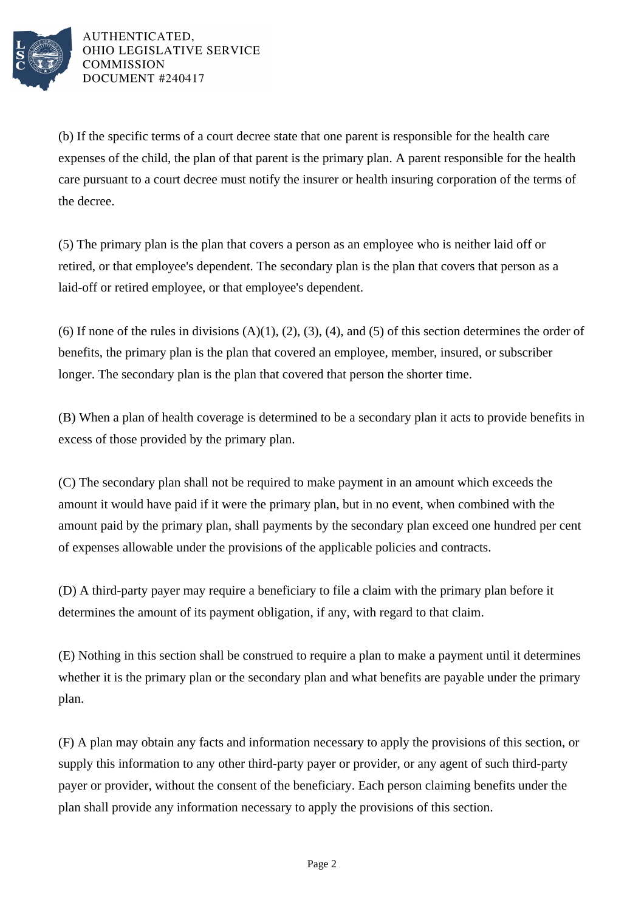

AUTHENTICATED, OHIO LEGISLATIVE SERVICE **COMMISSION** DOCUMENT #240417

(b) If the specific terms of a court decree state that one parent is responsible for the health care expenses of the child, the plan of that parent is the primary plan. A parent responsible for the health care pursuant to a court decree must notify the insurer or health insuring corporation of the terms of the decree.

(5) The primary plan is the plan that covers a person as an employee who is neither laid off or retired, or that employee's dependent. The secondary plan is the plan that covers that person as a laid-off or retired employee, or that employee's dependent.

(6) If none of the rules in divisions  $(A)(1)$ ,  $(2)$ ,  $(3)$ ,  $(4)$ , and  $(5)$  of this section determines the order of benefits, the primary plan is the plan that covered an employee, member, insured, or subscriber longer. The secondary plan is the plan that covered that person the shorter time.

(B) When a plan of health coverage is determined to be a secondary plan it acts to provide benefits in excess of those provided by the primary plan.

(C) The secondary plan shall not be required to make payment in an amount which exceeds the amount it would have paid if it were the primary plan, but in no event, when combined with the amount paid by the primary plan, shall payments by the secondary plan exceed one hundred per cent of expenses allowable under the provisions of the applicable policies and contracts.

(D) A third-party payer may require a beneficiary to file a claim with the primary plan before it determines the amount of its payment obligation, if any, with regard to that claim.

(E) Nothing in this section shall be construed to require a plan to make a payment until it determines whether it is the primary plan or the secondary plan and what benefits are payable under the primary plan.

(F) A plan may obtain any facts and information necessary to apply the provisions of this section, or supply this information to any other third-party payer or provider, or any agent of such third-party payer or provider, without the consent of the beneficiary. Each person claiming benefits under the plan shall provide any information necessary to apply the provisions of this section.